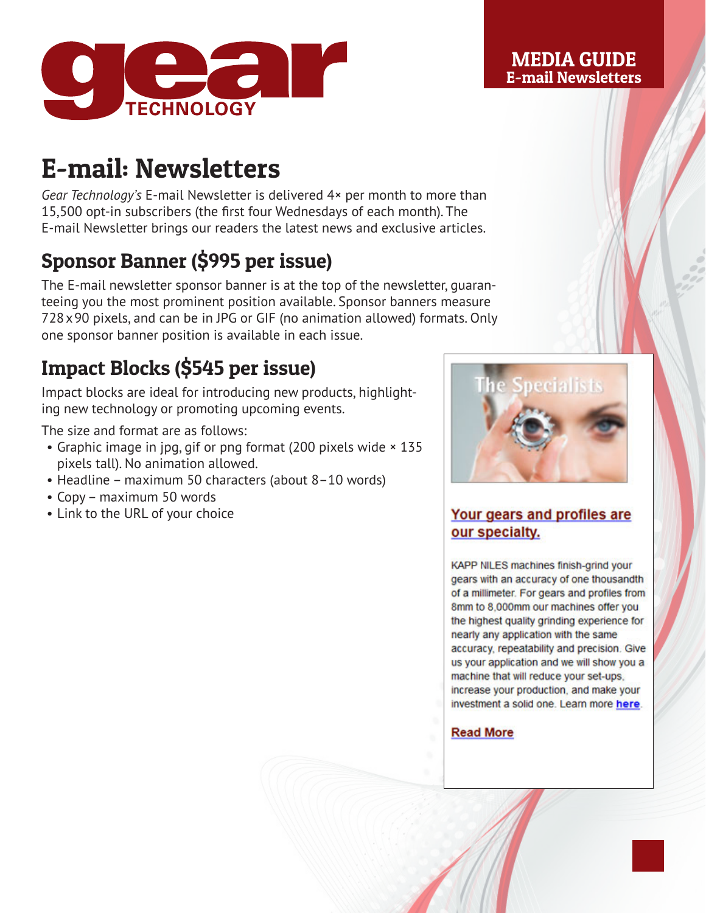

#### MEDIA GUIDE E-mail Newsletters

# E-mail: Newsletters

*Gear Technology's* E-mail Newsletter is delivered 4× per month to more than 15,500 opt-in subscribers (the first four Wednesdays of each month). The E-mail Newsletter brings our readers the latest news and exclusive articles.

## Sponsor Banner (\$995 per issue)

The E-mail newsletter sponsor banner is at the top of the newsletter, guaranteeing you the most prominent position available. Sponsor banners measure 728x90 pixels, and can be in JPG or GIF (no animation allowed) formats. Only one sponsor banner position is available in each issue.

### Impact Blocks (\$545 per issue)

Impact blocks are ideal for introducing new products, highlighting new technology or promoting upcoming events.

The size and format are as follows:

- Graphic image in jpg, gif or png format (200 pixels wide × 135 pixels tall). No animation allowed.
- Headline maximum 50 characters (about 8–10 words)
- Copy maximum 50 words
- Link to the URL of your choice



#### Your gears and profiles are our specialty.

KAPP NILES machines finish-grind your gears with an accuracy of one thousandth of a millimeter. For gears and profiles from 8mm to 8,000mm our machines offer you the highest quality grinding experience for nearly any application with the same accuracy, repeatability and precision. Give us your application and we will show you a machine that will reduce your set-ups. increase your production, and make your investment a solid one. Learn more here.

**Read More**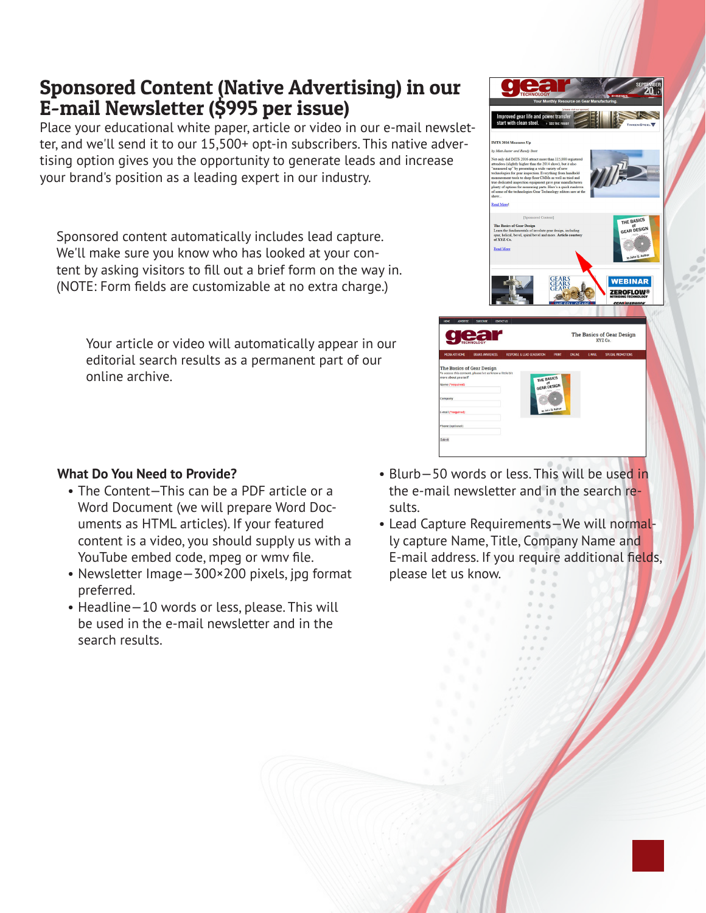### Sponsored Content (Native Advertising) in our E-mail Newsletter (\$995 per issue)

Place your educational white paper, article or video in our e-mail newsletter, and we'll send it to our 15,500+ opt-in subscribers. This native advertising option gives you the opportunity to generate leads and increase your brand's position as a leading expert in our industry.

Sponsored content automatically includes lead capture. We'll make sure you know who has looked at your content by asking visitors to fill out a brief form on the way in. (NOTE: Form fields are customizable at no extra charge.)

Your article or video will automatically appear in our editorial search results as a permanent part of our online archive.

#### **What Do You Need to Provide?**

- The Content—This can be a PDF article or a Word Document (we will prepare Word Documents as HTML articles). If your featured content is a video, you should supply us with a YouTube embed code, mpeg or wmv file.
- Newsletter Image—300×200 pixels, jpg format preferred.
- Headline—10 words or less, please. This will be used in the e-mail newsletter and in the search results.



- Blurb—50 words or less. This will be used in the e-mail newsletter and in the search results.
- Lead Capture Requirements—We will normally capture Name, Title, Company Name and E-mail address. If you require additional fields, please let us know.